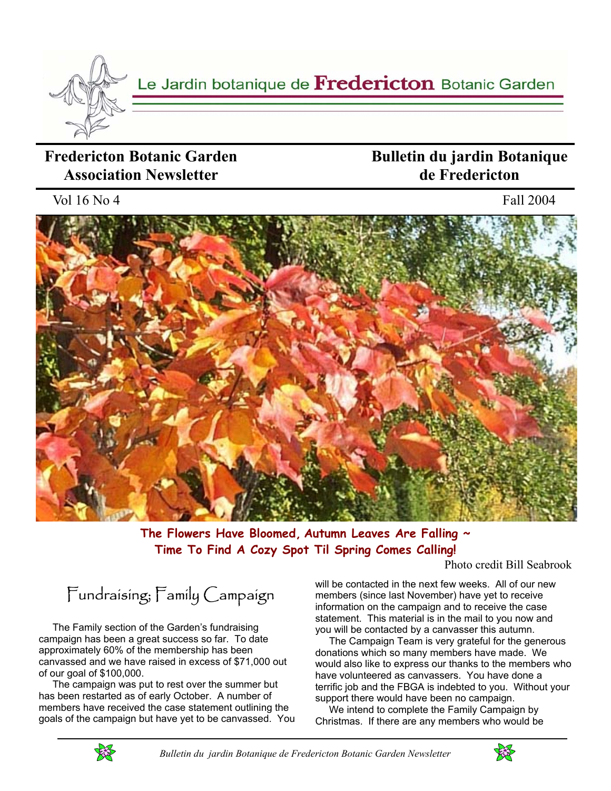

Le Jardin botanique de Fredericton Botanic Garden

## **Fredericton Botanic Garden Association Newsletter**

## **Bulletin du jardin Botanique de Fredericton**

Vol 16 No 4 Fall 2004



**The Flowers Have Bloomed, Autumn Leaves Are Falling ~ Time To Find A Cozy Spot Til Spring Comes Calling!**

Photo credit Bill Seabrook

Fundraising; Family Campaign

 The Family section of the Garden's fundraising campaign has been a great success so far. To date approximately 60% of the membership has been canvassed and we have raised in excess of \$71,000 out of our goal of \$100,000.

 The campaign was put to rest over the summer but has been restarted as of early October. A number of members have received the case statement outlining the goals of the campaign but have yet to be canvassed. You will be contacted in the next few weeks. All of our new members (since last November) have yet to receive information on the campaign and to receive the case statement. This material is in the mail to you now and you will be contacted by a canvasser this autumn.

 The Campaign Team is very grateful for the generous donations which so many members have made. We would also like to express our thanks to the members who have volunteered as canvassers. You have done a terrific job and the FBGA is indebted to you. Without your support there would have been no campaign.

 We intend to complete the Family Campaign by Christmas. If there are any members who would be



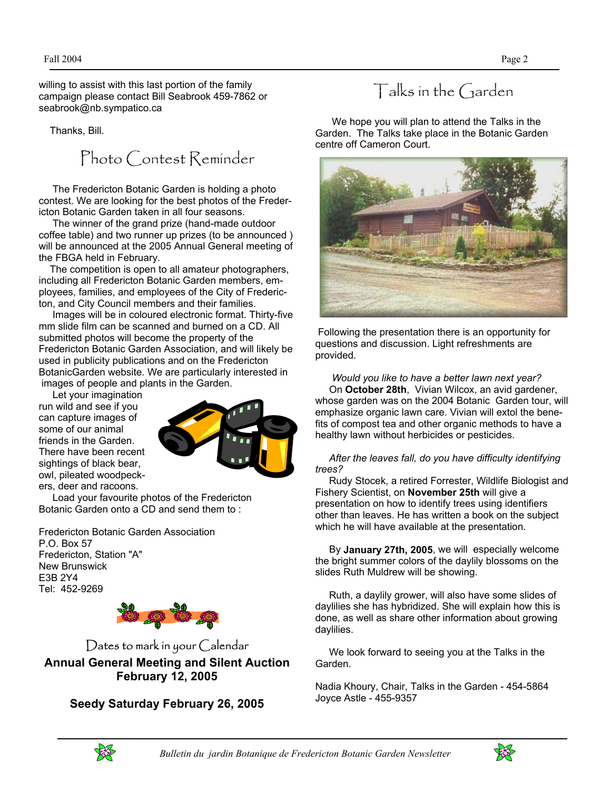willing to assist with this last portion of the family campaign please contact Bill Seabrook 459-7862 or seabrook@nb.sympatico.ca

Thanks, Bill.

Photo Contest Reminder

 The Fredericton Botanic Garden is holding a photo contest. We are looking for the best photos of the Fredericton Botanic Garden taken in all four seasons.

 The winner of the grand prize (hand-made outdoor coffee table) and two runner up prizes (to be announced ) will be announced at the 2005 Annual General meeting of the FBGA held in February.

 The competition is open to all amateur photographers, including all Fredericton Botanic Garden members, employees, families, and employees of the City of Fredericton, and City Council members and their families.

 Images will be in coloured electronic format. Thirty-five mm slide film can be scanned and burned on a CD. All submitted photos will become the property of the Fredericton Botanic Garden Association, and will likely be used in publicity publications and on the Fredericton BotanicGarden website. We are particularly interested in images of people and plants in the Garden.

 Let your imagination run wild and see if you can capture images of some of our animal friends in the Garden. There have been recent sightings of black bear, owl, pileated woodpeckers, deer and racoons.



 Load your favourite photos of the Fredericton Botanic Garden onto a CD and send them to :

Fredericton Botanic Garden Association P.O. Box 57 Fredericton, Station "A" New Brunswick E3B 2Y4 Tel: 452-9269



Dates to mark in your Calendar **Annual General Meeting and Silent Auction February 12, 2005** 

#### **Seedy Saturday February 26, 2005**

# Talks in the Garden

 We hope you will plan to attend the Talks in the Garden. The Talks take place in the Botanic Garden centre off Cameron Court.



 Following the presentation there is an opportunity for questions and discussion. Light refreshments are provided.

 *Would you like to have a better lawn next year?* On **October 28th**, Vivian Wilcox, an avid gardener, whose garden was on the 2004 Botanic Garden tour, will emphasize organic lawn care. Vivian will extol the benefits of compost tea and other organic methods to have a healthy lawn without herbicides or pesticides.

#### *After the leaves fall, do you have difficulty identifying trees?*

 Rudy Stocek, a retired Forrester, Wildlife Biologist and Fishery Scientist, on **November 25th** will give a presentation on how to identify trees using identifiers other than leaves. He has written a book on the subject which he will have available at the presentation.

 By **January 27th, 2005**, we will especially welcome the bright summer colors of the daylily blossoms on the slides Ruth Muldrew will be showing.

 Ruth, a daylily grower, will also have some slides of daylilies she has hybridized. She will explain how this is done, as well as share other information about growing daylilies.

 We look forward to seeing you at the Talks in the Garden.

Nadia Khoury, Chair, Talks in the Garden - 454-5864 Joyce Astle - 455-9357

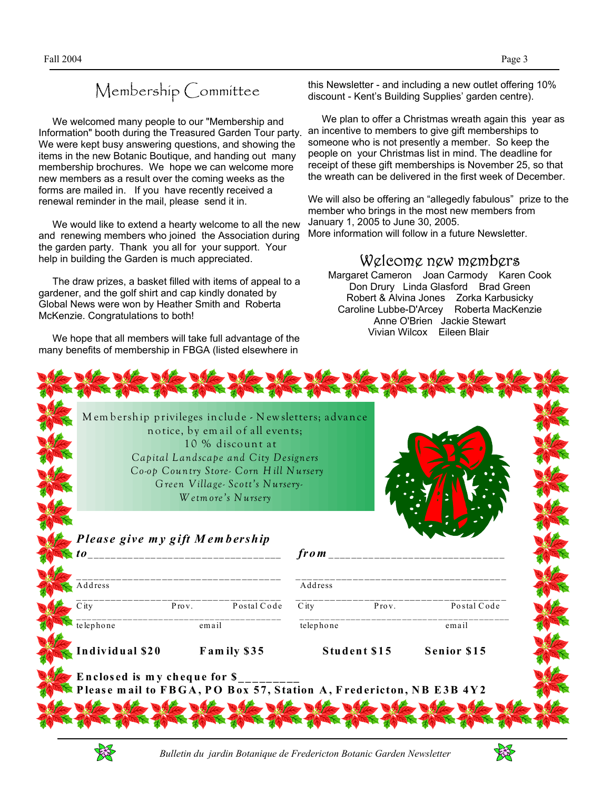# Membership Committee

 We welcomed many people to our "Membership and Information" booth during the Treasured Garden Tour party. We were kept busy answering questions, and showing the items in the new Botanic Boutique, and handing out many membership brochures. We hope we can welcome more new members as a result over the coming weeks as the forms are mailed in. If you have recently received a renewal reminder in the mail, please send it in.

 We would like to extend a hearty welcome to all the new and renewing members who joined the Association during the garden party. Thank you all for your support. Your help in building the Garden is much appreciated.

 The draw prizes, a basket filled with items of appeal to a gardener, and the golf shirt and cap kindly donated by Global News were won by Heather Smith and Roberta McKenzie. Congratulations to both!

 We hope that all members will take full advantage of the many benefits of membership in FBGA (listed elsewhere in

this Newsletter - and including a new outlet offering 10% discount - Kent's Building Supplies' garden centre).

 We plan to offer a Christmas wreath again this year as an incentive to members to give gift memberships to someone who is not presently a member. So keep the people on your Christmas list in mind. The deadline for receipt of these gift memberships is November 25, so that the wreath can be delivered in the first week of December.

We will also be offering an "allegedly fabulous" prize to the member who brings in the most new members from January 1, 2005 to June 30, 2005. More information will follow in a future Newsletter.

#### Welcome new members

Margaret Cameron Joan Carmody Karen Cook Don Drury Linda Glasford Brad Green Robert & Alvina Jones Zorka Karbusicky Caroline Lubbe-D'Arcey Roberta MacKenzie Anne O'Brien Jackie Stewart Vivian Wilcox Eileen Blair

|                                       |       | notice, by email of all events;<br>10 % discount at<br>Capital Landscape and City Designers<br>Co-op Country Store- Corn Hill Nursery<br>Green Village-Scott's Nursery-<br>Wetmore's Nursery |                    |                    |             |
|---------------------------------------|-------|----------------------------------------------------------------------------------------------------------------------------------------------------------------------------------------------|--------------------|--------------------|-------------|
| Please give my gift Membership<br>t o |       | _______________________________                                                                                                                                                              | from               |                    |             |
| Address                               |       |                                                                                                                                                                                              | Address            |                    |             |
| $\overline{C}$ ity                    |       | Prov. Postal Code                                                                                                                                                                            | $\overline{C}$ ity | Prov.              | Postal Code |
| telephone                             | email |                                                                                                                                                                                              | telephone          |                    | email       |
| Individual \$20<br>Family \$35        |       | Student \$15                                                                                                                                                                                 |                    | <b>Senior \$15</b> |             |